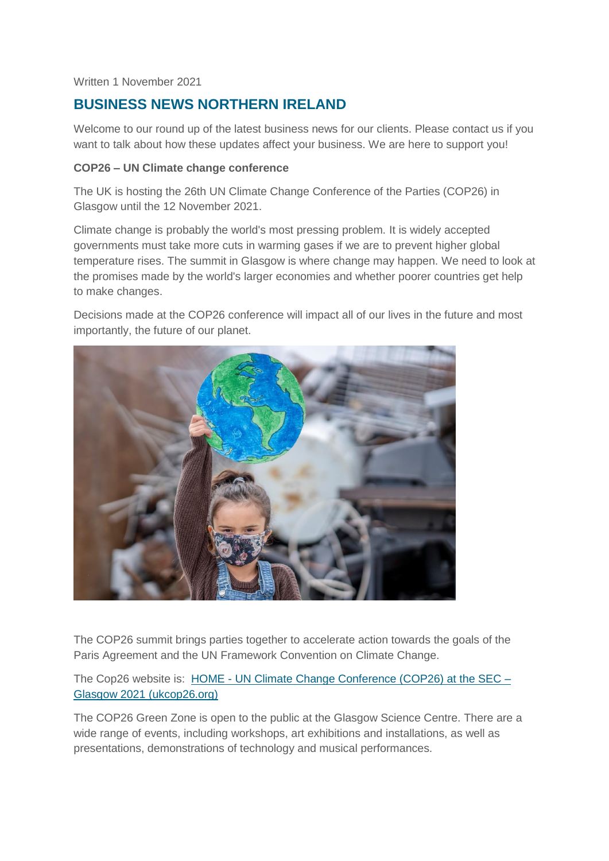Written 1 November 2021

# **BUSINESS NEWS NORTHERN IRELAND**

Welcome to our round up of the latest business news for our clients. Please contact us if you want to talk about how these updates affect your business. We are here to support you!

#### **COP26 – UN Climate change conference**

The UK is hosting the 26th UN Climate Change Conference of the Parties (COP26) in Glasgow until the 12 November 2021.

Climate change is probably the world's most pressing problem. It is widely accepted governments must take more cuts in warming gases if we are to prevent higher global temperature rises. The summit in Glasgow is where change may happen. We need to look at the promises made by the world's larger economies and whether poorer countries get help to make changes.

Decisions made at the COP26 conference will impact all of our lives in the future and most importantly, the future of our planet.



The COP26 summit brings parties together to accelerate action towards the goals of the Paris Agreement and the UN Framework Convention on Climate Change.

The Cop26 website is: HOME - [UN Climate Change Conference \(COP26\) at the SEC –](https://ukcop26.org/) [Glasgow 2021 \(ukcop26.org\)](https://ukcop26.org/)

The COP26 Green Zone is open to the public at the Glasgow Science Centre. There are a wide range of events, including workshops, art exhibitions and installations, as well as presentations, demonstrations of technology and musical performances.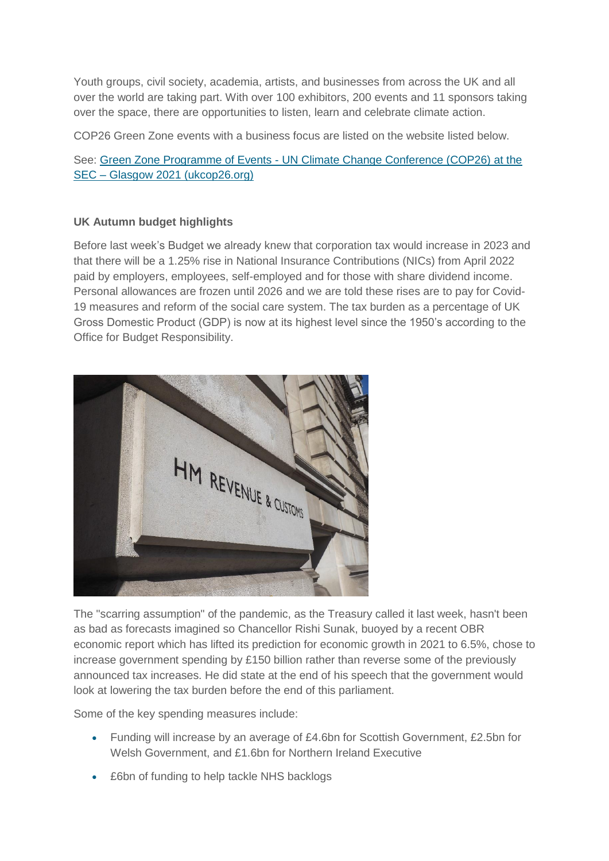Youth groups, civil society, academia, artists, and businesses from across the UK and all over the world are taking part. With over 100 exhibitors, 200 events and 11 sponsors taking over the space, there are opportunities to listen, learn and celebrate climate action.

COP26 Green Zone events with a business focus are listed on the website listed below.

See: Green Zone Programme of Events - [UN Climate Change Conference \(COP26\) at the](https://ukcop26.org/the-conference/green-zone-programme-of-events/)  SEC – [Glasgow 2021 \(ukcop26.org\)](https://ukcop26.org/the-conference/green-zone-programme-of-events/)

## **UK Autumn budget highlights**

Before last week's Budget we already knew that corporation tax would increase in 2023 and that there will be a 1.25% rise in National Insurance Contributions (NICs) from April 2022 paid by employers, employees, self-employed and for those with share dividend income. Personal allowances are frozen until 2026 and we are told these rises are to pay for Covid-19 measures and reform of the social care system. The tax burden as a percentage of UK Gross Domestic Product (GDP) is now at its highest level since the 1950's according to the Office for Budget Responsibility.



The "scarring assumption" of the pandemic, as the Treasury called it last week, hasn't been as bad as forecasts imagined so Chancellor Rishi Sunak, buoyed by a recent OBR economic report which has lifted its prediction for economic growth in 2021 to 6.5%, chose to increase government spending by £150 billion rather than reverse some of the previously announced tax increases. He did state at the end of his speech that the government would look at lowering the tax burden before the end of this parliament.

Some of the key spending measures include:

- Funding will increase by an average of £4.6bn for Scottish Government, £2.5bn for Welsh Government, and £1.6bn for Northern Ireland Executive
- £6bn of funding to help tackle NHS backlogs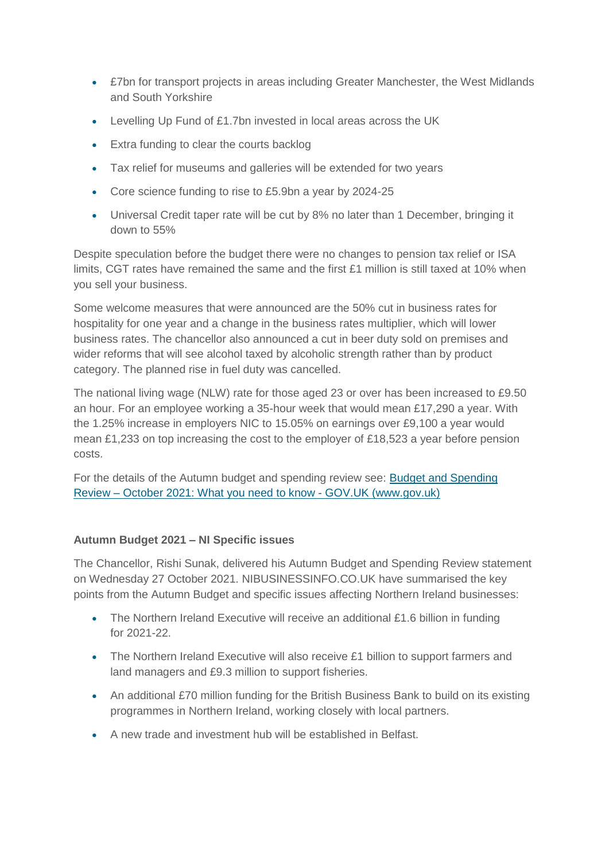- £7bn for transport projects in areas including Greater Manchester, the West Midlands and South Yorkshire
- Levelling Up Fund of £1.7bn invested in local areas across the UK
- **Extra funding to clear the courts backlog**
- Tax relief for museums and galleries will be extended for two years
- Core science funding to rise to £5.9bn a year by 2024-25
- Universal Credit taper rate will be cut by 8% no later than 1 December, bringing it down to 55%

Despite speculation before the budget there were no changes to pension tax relief or ISA limits, CGT rates have remained the same and the first  $£1$  million is still taxed at 10% when you sell your business.

Some welcome measures that were announced are the 50% cut in business rates for hospitality for one year and a change in the business rates multiplier, which will lower business rates. The chancellor also announced a cut in beer duty sold on premises and wider reforms that will see alcohol taxed by alcoholic strength rather than by product category. The planned rise in fuel duty was cancelled.

The national living wage (NLW) rate for those aged 23 or over has been increased to £9.50 an hour. For an employee working a 35-hour week that would mean £17,290 a year. With the 1.25% increase in employers NIC to 15.05% on earnings over £9,100 a year would mean £1,233 on top increasing the cost to the employer of £18,523 a year before pension costs.

For the details of the Autumn budget and spending review see: [Budget and Spending](https://www.gov.uk/government/news/budget-and-spending-review-october-2021-what-you-need-to-know)  Review – [October 2021: What you need to know -](https://www.gov.uk/government/news/budget-and-spending-review-october-2021-what-you-need-to-know) GOV.UK (www.gov.uk)

## **Autumn Budget 2021 – NI Specific issues**

The Chancellor, Rishi Sunak, delivered his Autumn Budget and Spending Review statement on Wednesday 27 October 2021. NIBUSINESSINFO.CO.UK have summarised the key points from the Autumn Budget and specific issues affecting Northern Ireland businesses:

- The Northern Ireland Executive will receive an additional £1.6 billion in funding for 2021-22.
- The Northern Ireland Executive will also receive £1 billion to support farmers and land managers and £9.3 million to support fisheries.
- An additional £70 million funding for the British Business Bank to build on its existing programmes in Northern Ireland, working closely with local partners.
- A new trade and investment hub will be established in Belfast.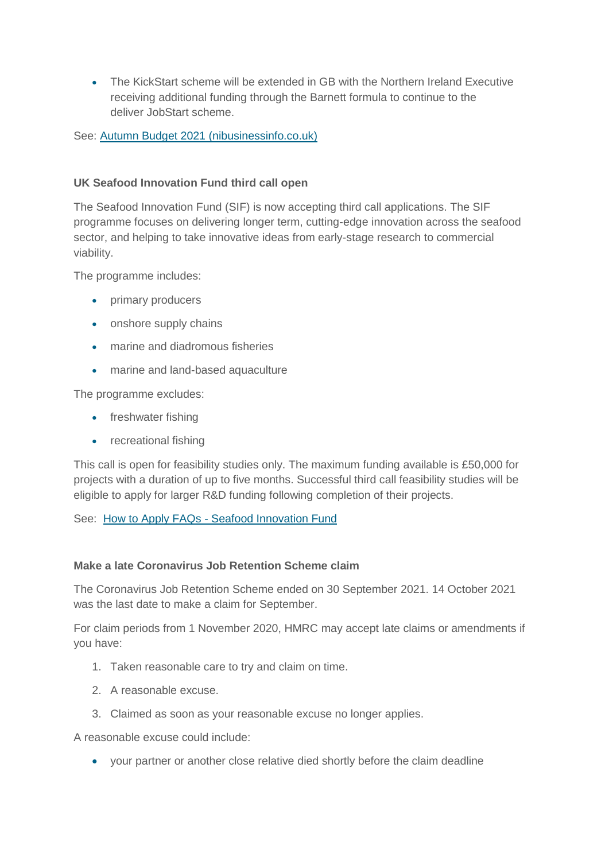The KickStart scheme will be extended in GB with the Northern Ireland Executive receiving additional funding through the Barnett formula to continue to the deliver JobStart scheme.

See: [Autumn Budget 2021 \(nibusinessinfo.co.uk\)](https://www.nibusinessinfo.co.uk/content/autumn-budget-2021)

## **UK Seafood Innovation Fund third call open**

The Seafood Innovation Fund (SIF) is now accepting third call applications. The SIF programme focuses on delivering longer term, cutting-edge innovation across the seafood sector, and helping to take innovative ideas from early-stage research to commercial viability.

The programme includes:

- primary producers
- onshore supply chains
- marine and diadromous fisheries
- marine and land-based aquaculture

The programme excludes:

- freshwater fishing
- recreational fishing

This call is open for feasibility studies only. The maximum funding available is £50,000 for projects with a duration of up to five months. Successful third call feasibility studies will be eligible to apply for larger R&D funding following completion of their projects.

See: How to Apply FAQs - [Seafood Innovation Fund](https://www.seafoodinnovation.fund/apply/)

#### **Make a late Coronavirus Job Retention Scheme claim**

The Coronavirus Job Retention Scheme ended on 30 September 2021. 14 October 2021 was the last date to make a claim for September.

For claim periods from 1 November 2020, HMRC may accept late claims or amendments if you have:

- 1. Taken reasonable care to try and claim on time.
- 2. A reasonable excuse.
- 3. Claimed as soon as your reasonable excuse no longer applies.

A reasonable excuse could include:

your partner or another close relative died shortly before the claim deadline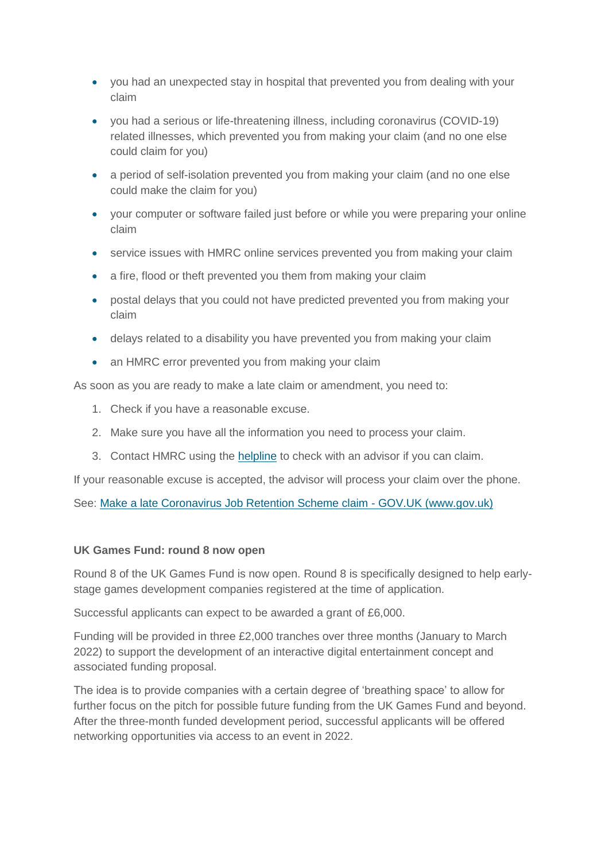- you had an unexpected stay in hospital that prevented you from dealing with your claim
- you had a serious or life-threatening illness, including coronavirus (COVID-19) related illnesses, which prevented you from making your claim (and no one else could claim for you)
- a period of self-isolation prevented you from making your claim (and no one else could make the claim for you)
- your computer or software failed just before or while you were preparing your online claim
- service issues with HMRC online services prevented you from making your claim
- a fire, flood or theft prevented you them from making your claim
- postal delays that you could not have predicted prevented you from making your claim
- delays related to a disability you have prevented you from making your claim
- an HMRC error prevented you from making your claim

As soon as you are ready to make a late claim or amendment, you need to:

- 1. Check if you have a reasonable excuse.
- 2. Make sure you have all the information you need to process your claim.
- 3. Contact HMRC using the [helpline](https://www.gov.uk/government/organisations/hm-revenue-customs/contact/get-help-with-the-coronavirus-job-retention-scheme) to check with an advisor if you can claim.

If your reasonable excuse is accepted, the advisor will process your claim over the phone.

See: [Make a late Coronavirus Job Retention Scheme claim -](https://www.gov.uk/guidance/make-a-late-coronavirus-job-retention-scheme-claim?utm_medium=email&utm_campaign=govuk-notifications&utm_source=2c5b859b-20a0-4f0e-9309-98aadccfa0fc&utm_content=daily) GOV.UK (www.gov.uk)

#### **UK Games Fund: round 8 now open**

Round 8 of the UK Games Fund is now open. Round 8 is specifically designed to help earlystage games development companies registered at the time of application.

Successful applicants can expect to be awarded a grant of £6,000.

Funding will be provided in three £2,000 tranches over three months (January to March 2022) to support the development of an interactive digital entertainment concept and associated funding proposal.

The idea is to provide companies with a certain degree of 'breathing space' to allow for further focus on the pitch for possible future funding from the UK Games Fund and beyond. After the three-month funded development period, successful applicants will be offered networking opportunities via access to an event in 2022.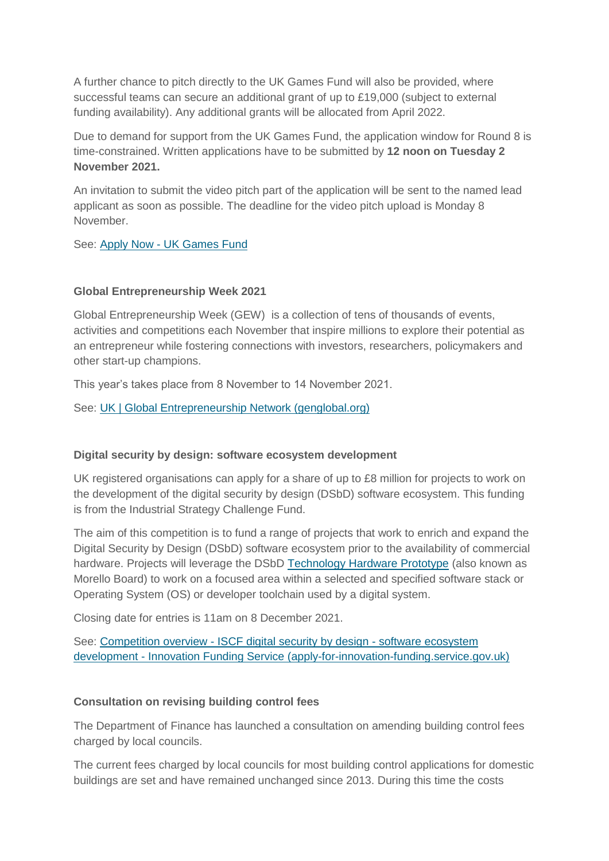A further chance to pitch directly to the UK Games Fund will also be provided, where successful teams can secure an additional grant of up to £19,000 (subject to external funding availability). Any additional grants will be allocated from April 2022.

Due to demand for support from the UK Games Fund, the application window for Round 8 is time-constrained. Written applications have to be submitted by **12 noon on Tuesday 2 November 2021.**

An invitation to submit the video pitch part of the application will be sent to the named lead applicant as soon as possible. The deadline for the video pitch upload is Monday 8 November.

See: Apply Now - [UK Games Fund](https://ukgamesfund.com/round-8-apply-now/)

#### **Global Entrepreneurship Week 2021**

Global Entrepreneurship Week (GEW) is a collection of tens of thousands of events, activities and competitions each November that inspire millions to explore their potential as an entrepreneur while fostering connections with investors, researchers, policymakers and other start-up champions.

This year's takes place from 8 November to 14 November 2021.

See: [UK | Global Entrepreneurship Network \(genglobal.org\)](https://www.genglobal.org/united-kingdom)

#### **Digital security by design: software ecosystem development**

UK registered organisations can apply for a share of up to £8 million for projects to work on the development of the digital security by design (DSbD) software ecosystem. This funding is from the Industrial Strategy Challenge Fund.

The aim of this competition is to fund a range of projects that work to enrich and expand the Digital Security by Design (DSbD) software ecosystem prior to the availability of commercial hardware. Projects will leverage the DSbD [Technology Hardware Prototype](https://ktn-uk.org/events/iscf-digital-security-by-design-dsbd-business-led-demonstrators-phase-1-expression-of-interest-eoi-briefing-event/) (also known as Morello Board) to work on a focused area within a selected and specified software stack or Operating System (OS) or developer toolchain used by a digital system.

Closing date for entries is 11am on 8 December 2021.

See: Competition overview - [ISCF digital security by design -](https://apply-for-innovation-funding.service.gov.uk/competition/1020/overview#summary) software ecosystem development - [Innovation Funding Service \(apply-for-innovation-funding.service.gov.uk\)](https://apply-for-innovation-funding.service.gov.uk/competition/1020/overview#summary)

#### **Consultation on revising building control fees**

The Department of Finance has launched a consultation on amending building control fees charged by local councils.

The current fees charged by local councils for most building control applications for domestic buildings are set and have remained unchanged since 2013. During this time the costs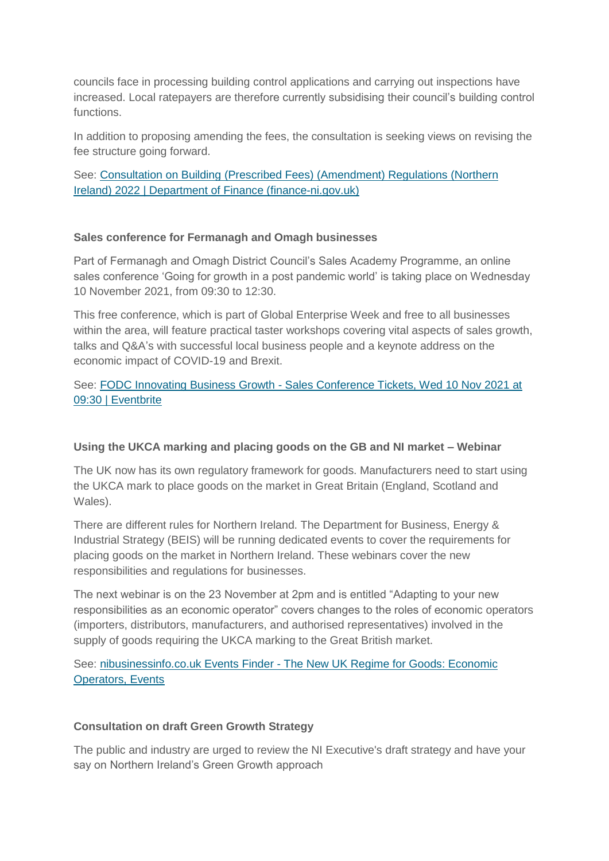councils face in processing building control applications and carrying out inspections have increased. Local ratepayers are therefore currently subsidising their council's building control functions.

In addition to proposing amending the fees, the consultation is seeking views on revising the fee structure going forward.

See: [Consultation on Building \(Prescribed Fees\) \(Amendment\) Regulations \(Northern](https://www.finance-ni.gov.uk/consultations/consultation-building-prescribed-fees-amendment-regulations-northern-ireland-2022)  [Ireland\) 2022 | Department of Finance \(finance-ni.gov.uk\)](https://www.finance-ni.gov.uk/consultations/consultation-building-prescribed-fees-amendment-regulations-northern-ireland-2022)

#### **Sales conference for Fermanagh and Omagh businesses**

Part of Fermanagh and Omagh District Council's Sales Academy Programme, an online sales conference 'Going for growth in a post pandemic world' is taking place on Wednesday 10 November 2021, from 09:30 to 12:30.

This free conference, which is part of Global Enterprise Week and free to all businesses within the area, will feature practical taster workshops covering vital aspects of sales growth, talks and Q&A's with successful local business people and a keynote address on the economic impact of COVID-19 and Brexit.

## See: FODC Innovating Business Growth - [Sales Conference Tickets, Wed 10 Nov 2021 at](https://www.eventbrite.com/e/fodc-innovating-business-growth-sales-conference-tickets-187738339427)  [09:30 | Eventbrite](https://www.eventbrite.com/e/fodc-innovating-business-growth-sales-conference-tickets-187738339427)

#### **Using the UKCA marking and placing goods on the GB and NI market – Webinar**

The UK now has its own regulatory framework for goods. Manufacturers need to start using the UKCA mark to place goods on the market in Great Britain (England, Scotland and Wales).

There are different rules for Northern Ireland. The Department for Business, Energy & Industrial Strategy (BEIS) will be running dedicated events to cover the requirements for placing goods on the market in Northern Ireland. These webinars cover the new responsibilities and regulations for businesses.

The next webinar is on the 23 November at 2pm and is entitled "Adapting to your new responsibilities as an economic operator" covers changes to the roles of economic operators (importers, distributors, manufacturers, and authorised representatives) involved in the supply of goods requiring the UKCA marking to the Great British market.

See: nibusinessinfo.co.uk Events Finder - [The New UK Regime for Goods: Economic](https://www.events.nibusinessinfo.co.uk/en/events/the-new-uk-regime-for-goods-economic-operators/)  [Operators, Events](https://www.events.nibusinessinfo.co.uk/en/events/the-new-uk-regime-for-goods-economic-operators/)

#### **Consultation on draft Green Growth Strategy**

The public and industry are urged to review the NI Executive's draft strategy and have your say on Northern Ireland's Green Growth approach